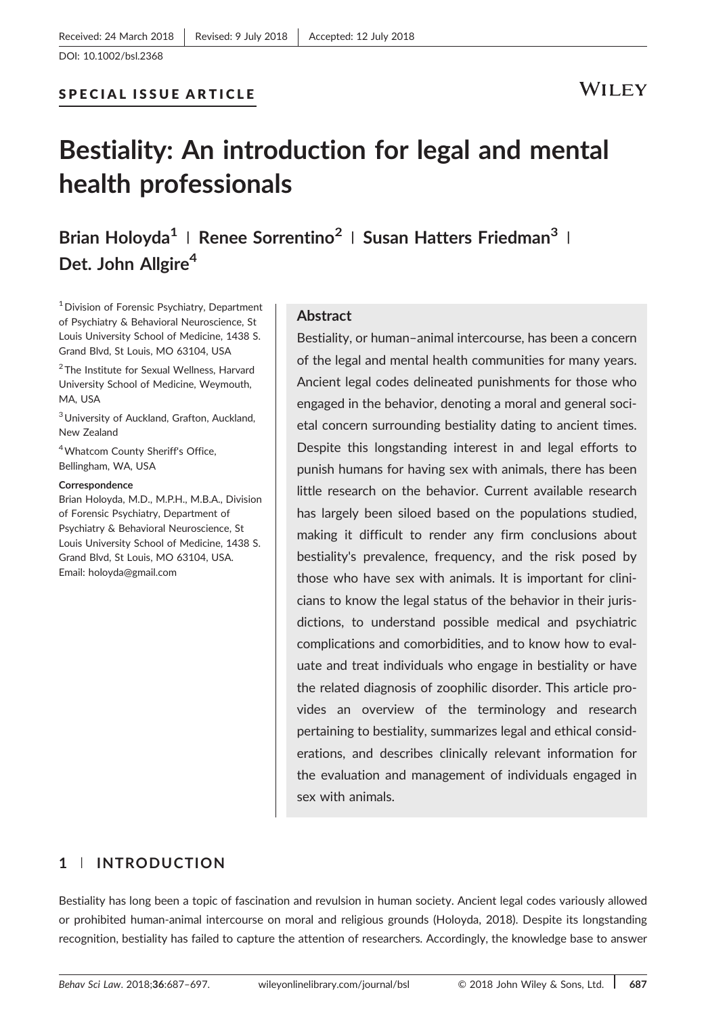# Bestiality: An introduction for legal and mental health professionals

Brian Holoyda<sup>1</sup> | Renee Sorrentino<sup>2</sup> | Susan Hatters Friedman<sup>3</sup> | Det. John Allgire<sup>4</sup>

<sup>1</sup> Division of Forensic Psychiatry, Department of Psychiatry & Behavioral Neuroscience, St Louis University School of Medicine, 1438 S. Grand Blvd, St Louis, MO 63104, USA

<sup>2</sup>The Institute for Sexual Wellness, Harvard University School of Medicine, Weymouth, MA, USA

3University of Auckland, Grafton, Auckland, New Zealand

4Whatcom County Sheriff's Office, Bellingham, WA, USA

#### Correspondence

Brian Holoyda, M.D., M.P.H., M.B.A., Division of Forensic Psychiatry, Department of Psychiatry & Behavioral Neuroscience, St Louis University School of Medicine, 1438 S. Grand Blvd, St Louis, MO 63104, USA. Email: [holoyda@gmail.com](mailto:holoyda@gmail.com)

#### Abstract

Bestiality, or human–animal intercourse, has been a concern of the legal and mental health communities for many years. Ancient legal codes delineated punishments for those who engaged in the behavior, denoting a moral and general societal concern surrounding bestiality dating to ancient times. Despite this longstanding interest in and legal efforts to punish humans for having sex with animals, there has been little research on the behavior. Current available research has largely been siloed based on the populations studied, making it difficult to render any firm conclusions about bestiality's prevalence, frequency, and the risk posed by those who have sex with animals. It is important for clinicians to know the legal status of the behavior in their jurisdictions, to understand possible medical and psychiatric complications and comorbidities, and to know how to evaluate and treat individuals who engage in bestiality or have the related diagnosis of zoophilic disorder. This article provides an overview of the terminology and research pertaining to bestiality, summarizes legal and ethical considerations, and describes clinically relevant information for the evaluation and management of individuals engaged in sex with animals.

## 1 | INTRODUCTION

Bestiality has long been a topic of fascination and revulsion in human society. Ancient legal codes variously allowed or prohibited human‐animal intercourse on moral and religious grounds (Holoyda, 2018). Despite its longstanding recognition, bestiality has failed to capture the attention of researchers. Accordingly, the knowledge base to answer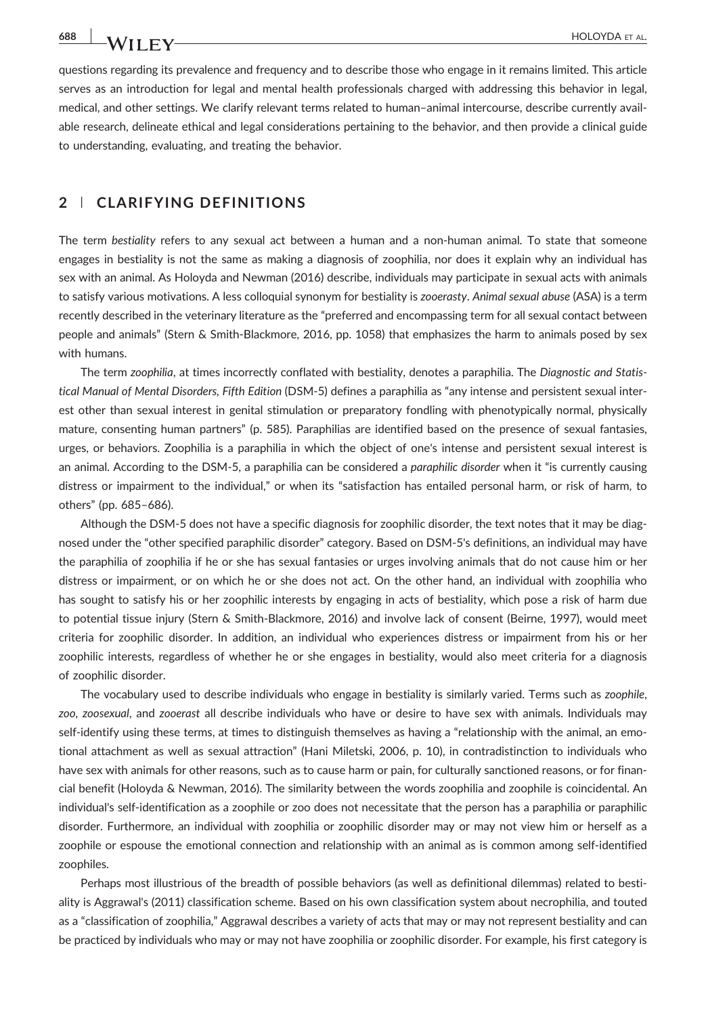questions regarding its prevalence and frequency and to describe those who engage in it remains limited. This article serves as an introduction for legal and mental health professionals charged with addressing this behavior in legal, medical, and other settings. We clarify relevant terms related to human–animal intercourse, describe currently available research, delineate ethical and legal considerations pertaining to the behavior, and then provide a clinical guide to understanding, evaluating, and treating the behavior.

## 2 | CLARIFYING DEFINITIONS

The term bestiality refers to any sexual act between a human and a non-human animal. To state that someone engages in bestiality is not the same as making a diagnosis of zoophilia, nor does it explain why an individual has sex with an animal. As Holoyda and Newman (2016) describe, individuals may participate in sexual acts with animals to satisfy various motivations. A less colloquial synonym for bestiality is zooerasty. Animal sexual abuse (ASA) is a term recently described in the veterinary literature as the "preferred and encompassing term for all sexual contact between people and animals" (Stern & Smith‐Blackmore, 2016, pp. 1058) that emphasizes the harm to animals posed by sex with humans.

The term zoophilia, at times incorrectly conflated with bestiality, denotes a paraphilia. The Diagnostic and Statistical Manual of Mental Disorders, Fifth Edition (DSM‐5) defines a paraphilia as "any intense and persistent sexual interest other than sexual interest in genital stimulation or preparatory fondling with phenotypically normal, physically mature, consenting human partners" (p. 585). Paraphilias are identified based on the presence of sexual fantasies, urges, or behaviors. Zoophilia is a paraphilia in which the object of one's intense and persistent sexual interest is an animal. According to the DSM-5, a paraphilia can be considered a paraphilic disorder when it "is currently causing distress or impairment to the individual," or when its "satisfaction has entailed personal harm, or risk of harm, to others" (pp. 685–686).

Although the DSM‐5 does not have a specific diagnosis for zoophilic disorder, the text notes that it may be diagnosed under the "other specified paraphilic disorder" category. Based on DSM‐5's definitions, an individual may have the paraphilia of zoophilia if he or she has sexual fantasies or urges involving animals that do not cause him or her distress or impairment, or on which he or she does not act. On the other hand, an individual with zoophilia who has sought to satisfy his or her zoophilic interests by engaging in acts of bestiality, which pose a risk of harm due to potential tissue injury (Stern & Smith‐Blackmore, 2016) and involve lack of consent (Beirne, 1997), would meet criteria for zoophilic disorder. In addition, an individual who experiences distress or impairment from his or her zoophilic interests, regardless of whether he or she engages in bestiality, would also meet criteria for a diagnosis of zoophilic disorder.

The vocabulary used to describe individuals who engage in bestiality is similarly varied. Terms such as zoophile, zoo, zoosexual, and zooerast all describe individuals who have or desire to have sex with animals. Individuals may self-identify using these terms, at times to distinguish themselves as having a "relationship with the animal, an emotional attachment as well as sexual attraction" (Hani Miletski, 2006, p. 10), in contradistinction to individuals who have sex with animals for other reasons, such as to cause harm or pain, for culturally sanctioned reasons, or for financial benefit (Holoyda & Newman, 2016). The similarity between the words zoophilia and zoophile is coincidental. An individual's self‐identification as a zoophile or zoo does not necessitate that the person has a paraphilia or paraphilic disorder. Furthermore, an individual with zoophilia or zoophilic disorder may or may not view him or herself as a zoophile or espouse the emotional connection and relationship with an animal as is common among self‐identified zoophiles.

Perhaps most illustrious of the breadth of possible behaviors (as well as definitional dilemmas) related to bestiality is Aggrawal's (2011) classification scheme. Based on his own classification system about necrophilia, and touted as a "classification of zoophilia," Aggrawal describes a variety of acts that may or may not represent bestiality and can be practiced by individuals who may or may not have zoophilia or zoophilic disorder. For example, his first category is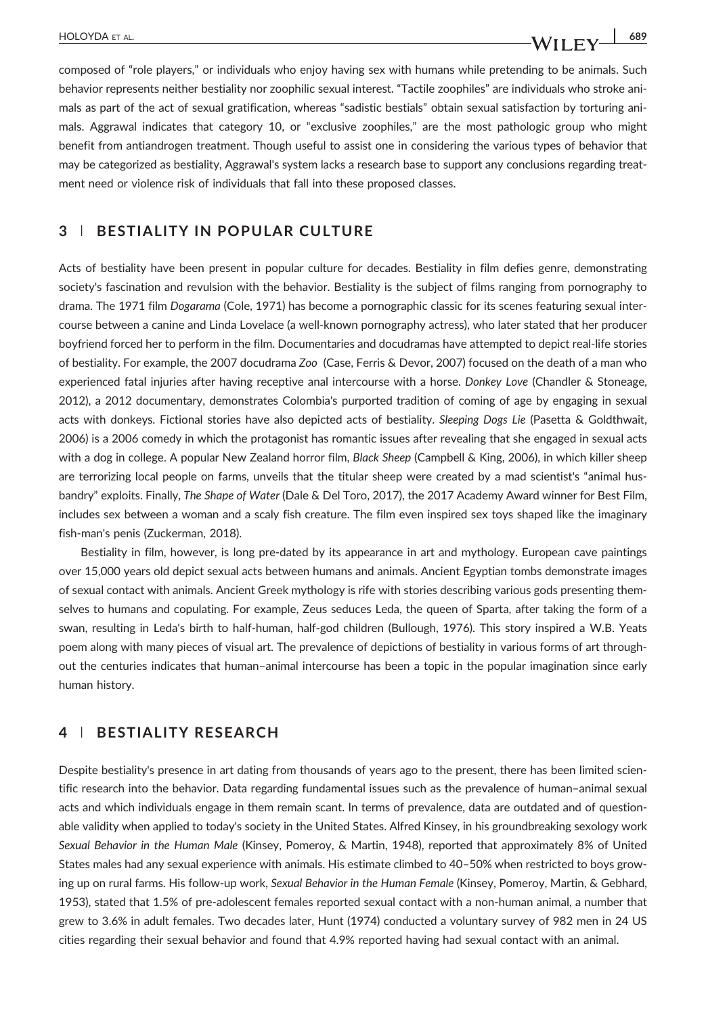composed of "role players," or individuals who enjoy having sex with humans while pretending to be animals. Such behavior represents neither bestiality nor zoophilic sexual interest. "Tactile zoophiles" are individuals who stroke animals as part of the act of sexual gratification, whereas "sadistic bestials" obtain sexual satisfaction by torturing animals. Aggrawal indicates that category 10, or "exclusive zoophiles," are the most pathologic group who might benefit from antiandrogen treatment. Though useful to assist one in considering the various types of behavior that may be categorized as bestiality, Aggrawal's system lacks a research base to support any conclusions regarding treatment need or violence risk of individuals that fall into these proposed classes.

#### 3 | BESTIALITY IN POPULAR CULTURE

Acts of bestiality have been present in popular culture for decades. Bestiality in film defies genre, demonstrating society's fascination and revulsion with the behavior. Bestiality is the subject of films ranging from pornography to drama. The 1971 film Dogarama (Cole, 1971) has become a pornographic classic for its scenes featuring sexual intercourse between a canine and Linda Lovelace (a well-known pornography actress), who later stated that her producer boyfriend forced her to perform in the film. Documentaries and docudramas have attempted to depict real‐life stories of bestiality. For example, the 2007 docudrama Zoo (Case, Ferris & Devor, 2007) focused on the death of a man who experienced fatal injuries after having receptive anal intercourse with a horse. Donkey Love (Chandler & Stoneage, 2012), a 2012 documentary, demonstrates Colombia's purported tradition of coming of age by engaging in sexual acts with donkeys. Fictional stories have also depicted acts of bestiality. Sleeping Dogs Lie (Pasetta & Goldthwait, 2006) is a 2006 comedy in which the protagonist has romantic issues after revealing that she engaged in sexual acts with a dog in college. A popular New Zealand horror film, Black Sheep (Campbell & King, 2006), in which killer sheep are terrorizing local people on farms, unveils that the titular sheep were created by a mad scientist's "animal husbandry" exploits. Finally, The Shape of Water (Dale & Del Toro, 2017), the 2017 Academy Award winner for Best Film, includes sex between a woman and a scaly fish creature. The film even inspired sex toys shaped like the imaginary fish‐man's penis (Zuckerman, 2018).

Bestiality in film, however, is long pre‐dated by its appearance in art and mythology. European cave paintings over 15,000 years old depict sexual acts between humans and animals. Ancient Egyptian tombs demonstrate images of sexual contact with animals. Ancient Greek mythology is rife with stories describing various gods presenting themselves to humans and copulating. For example, Zeus seduces Leda, the queen of Sparta, after taking the form of a swan, resulting in Leda's birth to half‐human, half‐god children (Bullough, 1976). This story inspired a W.B. Yeats poem along with many pieces of visual art. The prevalence of depictions of bestiality in various forms of art throughout the centuries indicates that human–animal intercourse has been a topic in the popular imagination since early human history.

## 4 | RESTIALITY RESEARCH

Despite bestiality's presence in art dating from thousands of years ago to the present, there has been limited scientific research into the behavior. Data regarding fundamental issues such as the prevalence of human–animal sexual acts and which individuals engage in them remain scant. In terms of prevalence, data are outdated and of questionable validity when applied to today's society in the United States. Alfred Kinsey, in his groundbreaking sexology work Sexual Behavior in the Human Male (Kinsey, Pomeroy, & Martin, 1948), reported that approximately 8% of United States males had any sexual experience with animals. His estimate climbed to 40–50% when restricted to boys growing up on rural farms. His follow‐up work, Sexual Behavior in the Human Female (Kinsey, Pomeroy, Martin, & Gebhard, 1953), stated that 1.5% of pre‐adolescent females reported sexual contact with a non‐human animal, a number that grew to 3.6% in adult females. Two decades later, Hunt (1974) conducted a voluntary survey of 982 men in 24 US cities regarding their sexual behavior and found that 4.9% reported having had sexual contact with an animal.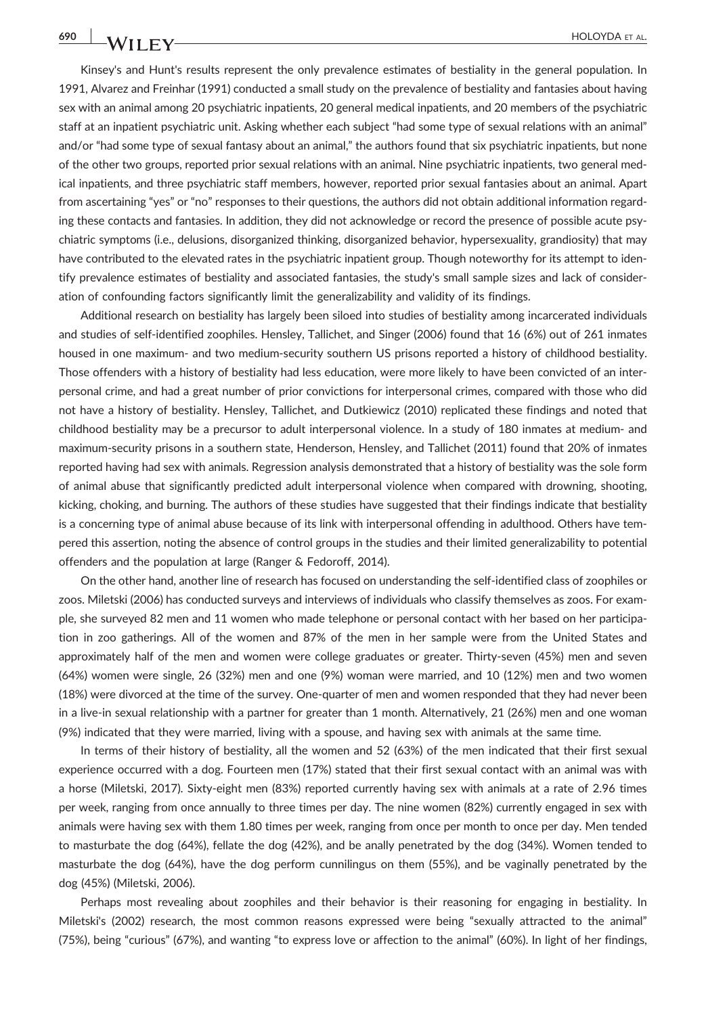Kinsey's and Hunt's results represent the only prevalence estimates of bestiality in the general population. In 1991, Alvarez and Freinhar (1991) conducted a small study on the prevalence of bestiality and fantasies about having sex with an animal among 20 psychiatric inpatients, 20 general medical inpatients, and 20 members of the psychiatric staff at an inpatient psychiatric unit. Asking whether each subject "had some type of sexual relations with an animal" and/or "had some type of sexual fantasy about an animal," the authors found that six psychiatric inpatients, but none of the other two groups, reported prior sexual relations with an animal. Nine psychiatric inpatients, two general medical inpatients, and three psychiatric staff members, however, reported prior sexual fantasies about an animal. Apart from ascertaining "yes" or "no" responses to their questions, the authors did not obtain additional information regarding these contacts and fantasies. In addition, they did not acknowledge or record the presence of possible acute psychiatric symptoms (i.e., delusions, disorganized thinking, disorganized behavior, hypersexuality, grandiosity) that may have contributed to the elevated rates in the psychiatric inpatient group. Though noteworthy for its attempt to identify prevalence estimates of bestiality and associated fantasies, the study's small sample sizes and lack of consideration of confounding factors significantly limit the generalizability and validity of its findings.

Additional research on bestiality has largely been siloed into studies of bestiality among incarcerated individuals and studies of self‐identified zoophiles. Hensley, Tallichet, and Singer (2006) found that 16 (6%) out of 261 inmates housed in one maximum‐ and two medium‐security southern US prisons reported a history of childhood bestiality. Those offenders with a history of bestiality had less education, were more likely to have been convicted of an interpersonal crime, and had a great number of prior convictions for interpersonal crimes, compared with those who did not have a history of bestiality. Hensley, Tallichet, and Dutkiewicz (2010) replicated these findings and noted that childhood bestiality may be a precursor to adult interpersonal violence. In a study of 180 inmates at medium‐ and maximum‐security prisons in a southern state, Henderson, Hensley, and Tallichet (2011) found that 20% of inmates reported having had sex with animals. Regression analysis demonstrated that a history of bestiality was the sole form of animal abuse that significantly predicted adult interpersonal violence when compared with drowning, shooting, kicking, choking, and burning. The authors of these studies have suggested that their findings indicate that bestiality is a concerning type of animal abuse because of its link with interpersonal offending in adulthood. Others have tempered this assertion, noting the absence of control groups in the studies and their limited generalizability to potential offenders and the population at large (Ranger & Fedoroff, 2014).

On the other hand, another line of research has focused on understanding the self‐identified class of zoophiles or zoos. Miletski (2006) has conducted surveys and interviews of individuals who classify themselves as zoos. For example, she surveyed 82 men and 11 women who made telephone or personal contact with her based on her participation in zoo gatherings. All of the women and 87% of the men in her sample were from the United States and approximately half of the men and women were college graduates or greater. Thirty‐seven (45%) men and seven (64%) women were single, 26 (32%) men and one (9%) woman were married, and 10 (12%) men and two women (18%) were divorced at the time of the survey. One‐quarter of men and women responded that they had never been in a live-in sexual relationship with a partner for greater than 1 month. Alternatively, 21 (26%) men and one woman (9%) indicated that they were married, living with a spouse, and having sex with animals at the same time.

In terms of their history of bestiality, all the women and 52 (63%) of the men indicated that their first sexual experience occurred with a dog. Fourteen men (17%) stated that their first sexual contact with an animal was with a horse (Miletski, 2017). Sixty‐eight men (83%) reported currently having sex with animals at a rate of 2.96 times per week, ranging from once annually to three times per day. The nine women (82%) currently engaged in sex with animals were having sex with them 1.80 times per week, ranging from once per month to once per day. Men tended to masturbate the dog (64%), fellate the dog (42%), and be anally penetrated by the dog (34%). Women tended to masturbate the dog (64%), have the dog perform cunnilingus on them (55%), and be vaginally penetrated by the dog (45%) (Miletski, 2006).

Perhaps most revealing about zoophiles and their behavior is their reasoning for engaging in bestiality. In Miletski's (2002) research, the most common reasons expressed were being "sexually attracted to the animal" (75%), being "curious" (67%), and wanting "to express love or affection to the animal" (60%). In light of her findings,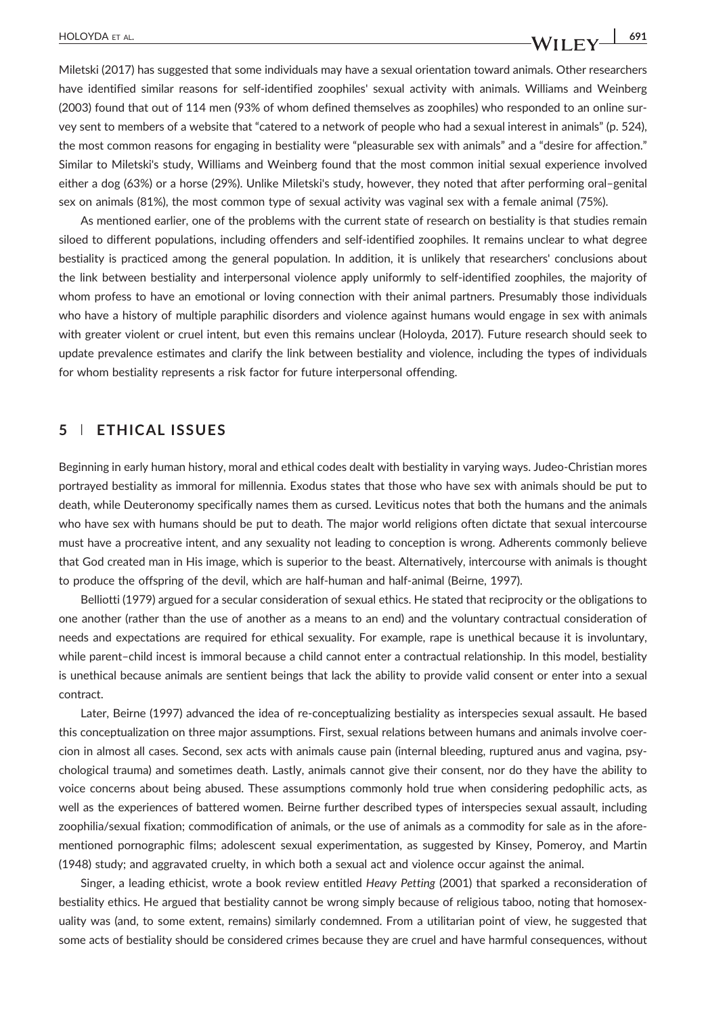Miletski (2017) has suggested that some individuals may have a sexual orientation toward animals. Other researchers have identified similar reasons for self-identified zoophiles' sexual activity with animals. Williams and Weinberg (2003) found that out of 114 men (93% of whom defined themselves as zoophiles) who responded to an online survey sent to members of a website that "catered to a network of people who had a sexual interest in animals" (p. 524), the most common reasons for engaging in bestiality were "pleasurable sex with animals" and a "desire for affection." Similar to Miletski's study, Williams and Weinberg found that the most common initial sexual experience involved either a dog (63%) or a horse (29%). Unlike Miletski's study, however, they noted that after performing oral–genital sex on animals (81%), the most common type of sexual activity was vaginal sex with a female animal (75%).

As mentioned earlier, one of the problems with the current state of research on bestiality is that studies remain siloed to different populations, including offenders and self-identified zoophiles. It remains unclear to what degree bestiality is practiced among the general population. In addition, it is unlikely that researchers' conclusions about the link between bestiality and interpersonal violence apply uniformly to self‐identified zoophiles, the majority of whom profess to have an emotional or loving connection with their animal partners. Presumably those individuals who have a history of multiple paraphilic disorders and violence against humans would engage in sex with animals with greater violent or cruel intent, but even this remains unclear (Holoyda, 2017). Future research should seek to update prevalence estimates and clarify the link between bestiality and violence, including the types of individuals for whom bestiality represents a risk factor for future interpersonal offending.

#### 5 | ETHICAL ISSUES

Beginning in early human history, moral and ethical codes dealt with bestiality in varying ways. Judeo‐Christian mores portrayed bestiality as immoral for millennia. Exodus states that those who have sex with animals should be put to death, while Deuteronomy specifically names them as cursed. Leviticus notes that both the humans and the animals who have sex with humans should be put to death. The major world religions often dictate that sexual intercourse must have a procreative intent, and any sexuality not leading to conception is wrong. Adherents commonly believe that God created man in His image, which is superior to the beast. Alternatively, intercourse with animals is thought to produce the offspring of the devil, which are half‐human and half‐animal (Beirne, 1997).

Belliotti (1979) argued for a secular consideration of sexual ethics. He stated that reciprocity or the obligations to one another (rather than the use of another as a means to an end) and the voluntary contractual consideration of needs and expectations are required for ethical sexuality. For example, rape is unethical because it is involuntary, while parent–child incest is immoral because a child cannot enter a contractual relationship. In this model, bestiality is unethical because animals are sentient beings that lack the ability to provide valid consent or enter into a sexual contract.

Later, Beirne (1997) advanced the idea of re‐conceptualizing bestiality as interspecies sexual assault. He based this conceptualization on three major assumptions. First, sexual relations between humans and animals involve coercion in almost all cases. Second, sex acts with animals cause pain (internal bleeding, ruptured anus and vagina, psychological trauma) and sometimes death. Lastly, animals cannot give their consent, nor do they have the ability to voice concerns about being abused. These assumptions commonly hold true when considering pedophilic acts, as well as the experiences of battered women. Beirne further described types of interspecies sexual assault, including zoophilia/sexual fixation; commodification of animals, or the use of animals as a commodity for sale as in the aforementioned pornographic films; adolescent sexual experimentation, as suggested by Kinsey, Pomeroy, and Martin (1948) study; and aggravated cruelty, in which both a sexual act and violence occur against the animal.

Singer, a leading ethicist, wrote a book review entitled Heavy Petting (2001) that sparked a reconsideration of bestiality ethics. He argued that bestiality cannot be wrong simply because of religious taboo, noting that homosexuality was (and, to some extent, remains) similarly condemned. From a utilitarian point of view, he suggested that some acts of bestiality should be considered crimes because they are cruel and have harmful consequences, without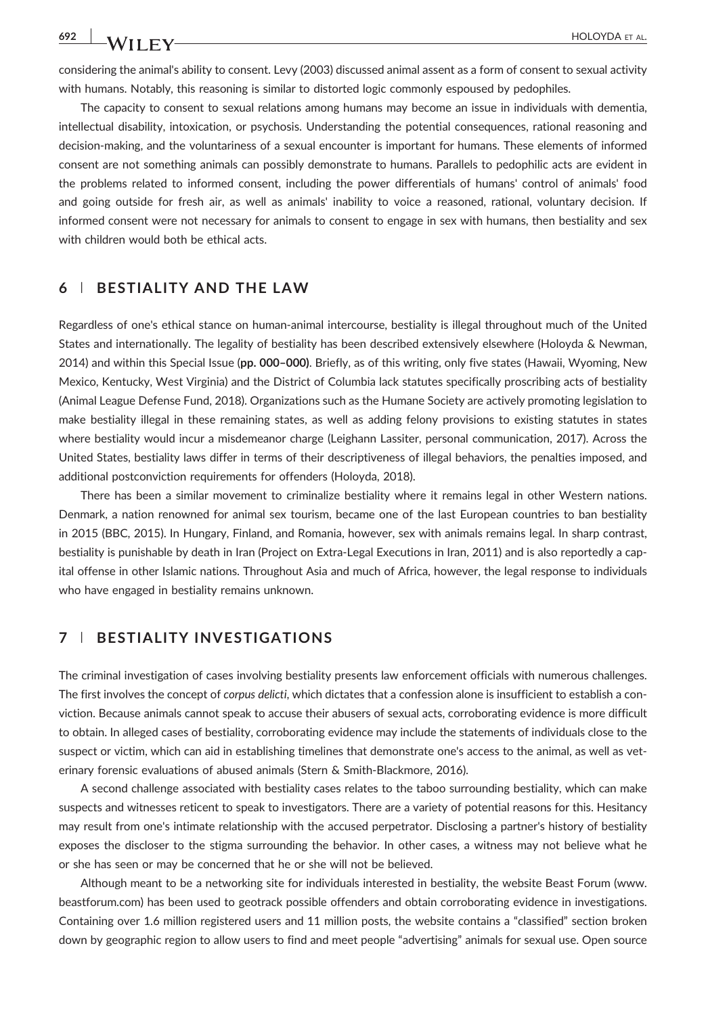considering the animal's ability to consent. Levy (2003) discussed animal assent as a form of consent to sexual activity with humans. Notably, this reasoning is similar to distorted logic commonly espoused by pedophiles.

The capacity to consent to sexual relations among humans may become an issue in individuals with dementia, intellectual disability, intoxication, or psychosis. Understanding the potential consequences, rational reasoning and decision-making, and the voluntariness of a sexual encounter is important for humans. These elements of informed consent are not something animals can possibly demonstrate to humans. Parallels to pedophilic acts are evident in the problems related to informed consent, including the power differentials of humans' control of animals' food and going outside for fresh air, as well as animals' inability to voice a reasoned, rational, voluntary decision. If informed consent were not necessary for animals to consent to engage in sex with humans, then bestiality and sex with children would both be ethical acts.

#### 6 | BESTIALITY AND THE LAW

Regardless of one's ethical stance on human‐animal intercourse, bestiality is illegal throughout much of the United States and internationally. The legality of bestiality has been described extensively elsewhere (Holoyda & Newman, 2014) and within this Special Issue (pp. 000–000). Briefly, as of this writing, only five states (Hawaii, Wyoming, New Mexico, Kentucky, West Virginia) and the District of Columbia lack statutes specifically proscribing acts of bestiality (Animal League Defense Fund, 2018). Organizations such as the Humane Society are actively promoting legislation to make bestiality illegal in these remaining states, as well as adding felony provisions to existing statutes in states where bestiality would incur a misdemeanor charge (Leighann Lassiter, personal communication, 2017). Across the United States, bestiality laws differ in terms of their descriptiveness of illegal behaviors, the penalties imposed, and additional postconviction requirements for offenders (Holoyda, 2018).

There has been a similar movement to criminalize bestiality where it remains legal in other Western nations. Denmark, a nation renowned for animal sex tourism, became one of the last European countries to ban bestiality in 2015 (BBC, 2015). In Hungary, Finland, and Romania, however, sex with animals remains legal. In sharp contrast, bestiality is punishable by death in Iran (Project on Extra‐Legal Executions in Iran, 2011) and is also reportedly a capital offense in other Islamic nations. Throughout Asia and much of Africa, however, the legal response to individuals who have engaged in bestiality remains unknown.

#### 7 | BESTIALITY INVESTIGATIONS

The criminal investigation of cases involving bestiality presents law enforcement officials with numerous challenges. The first involves the concept of corpus delicti, which dictates that a confession alone is insufficient to establish a conviction. Because animals cannot speak to accuse their abusers of sexual acts, corroborating evidence is more difficult to obtain. In alleged cases of bestiality, corroborating evidence may include the statements of individuals close to the suspect or victim, which can aid in establishing timelines that demonstrate one's access to the animal, as well as veterinary forensic evaluations of abused animals (Stern & Smith‐Blackmore, 2016).

A second challenge associated with bestiality cases relates to the taboo surrounding bestiality, which can make suspects and witnesses reticent to speak to investigators. There are a variety of potential reasons for this. Hesitancy may result from one's intimate relationship with the accused perpetrator. Disclosing a partner's history of bestiality exposes the discloser to the stigma surrounding the behavior. In other cases, a witness may not believe what he or she has seen or may be concerned that he or she will not be believed.

Although meant to be a networking site for individuals interested in bestiality, the website Beast Forum ([www.](http://www.beastforum.com) [beastforum.com](http://www.beastforum.com)) has been used to geotrack possible offenders and obtain corroborating evidence in investigations. Containing over 1.6 million registered users and 11 million posts, the website contains a "classified" section broken down by geographic region to allow users to find and meet people "advertising" animals for sexual use. Open source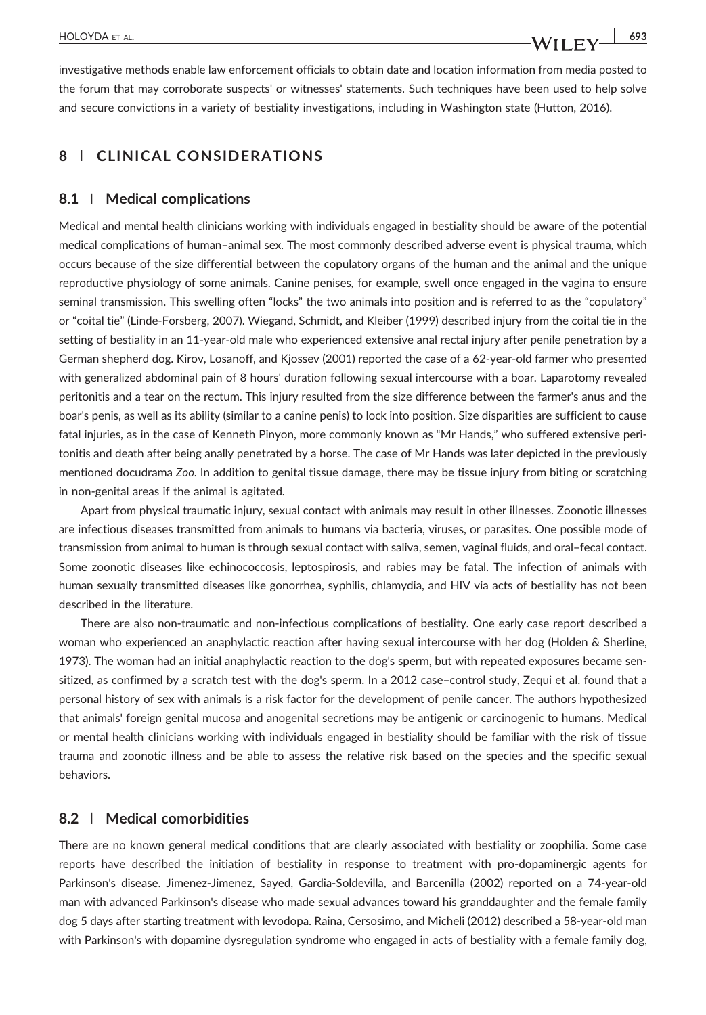investigative methods enable law enforcement officials to obtain date and location information from media posted to the forum that may corroborate suspects' or witnesses' statements. Such techniques have been used to help solve and secure convictions in a variety of bestiality investigations, including in Washington state (Hutton, 2016).

## 8 | CLINICAL CONSIDERATIONS

#### 8.1 | Medical complications

Medical and mental health clinicians working with individuals engaged in bestiality should be aware of the potential medical complications of human–animal sex. The most commonly described adverse event is physical trauma, which occurs because of the size differential between the copulatory organs of the human and the animal and the unique reproductive physiology of some animals. Canine penises, for example, swell once engaged in the vagina to ensure seminal transmission. This swelling often "locks" the two animals into position and is referred to as the "copulatory" or "coital tie" (Linde‐Forsberg, 2007). Wiegand, Schmidt, and Kleiber (1999) described injury from the coital tie in the setting of bestiality in an 11-year-old male who experienced extensive anal rectal injury after penile penetration by a German shepherd dog. Kirov, Losanoff, and Kjossev (2001) reported the case of a 62‐year‐old farmer who presented with generalized abdominal pain of 8 hours' duration following sexual intercourse with a boar. Laparotomy revealed peritonitis and a tear on the rectum. This injury resulted from the size difference between the farmer's anus and the boar's penis, as well as its ability (similar to a canine penis) to lock into position. Size disparities are sufficient to cause fatal injuries, as in the case of Kenneth Pinyon, more commonly known as "Mr Hands," who suffered extensive peritonitis and death after being anally penetrated by a horse. The case of Mr Hands was later depicted in the previously mentioned docudrama Zoo. In addition to genital tissue damage, there may be tissue injury from biting or scratching in non‐genital areas if the animal is agitated.

Apart from physical traumatic injury, sexual contact with animals may result in other illnesses. Zoonotic illnesses are infectious diseases transmitted from animals to humans via bacteria, viruses, or parasites. One possible mode of transmission from animal to human is through sexual contact with saliva, semen, vaginal fluids, and oral–fecal contact. Some zoonotic diseases like echinococcosis, leptospirosis, and rabies may be fatal. The infection of animals with human sexually transmitted diseases like gonorrhea, syphilis, chlamydia, and HIV via acts of bestiality has not been described in the literature.

There are also non‐traumatic and non‐infectious complications of bestiality. One early case report described a woman who experienced an anaphylactic reaction after having sexual intercourse with her dog (Holden & Sherline, 1973). The woman had an initial anaphylactic reaction to the dog's sperm, but with repeated exposures became sensitized, as confirmed by a scratch test with the dog's sperm. In a 2012 case–control study, Zequi et al. found that a personal history of sex with animals is a risk factor for the development of penile cancer. The authors hypothesized that animals' foreign genital mucosa and anogenital secretions may be antigenic or carcinogenic to humans. Medical or mental health clinicians working with individuals engaged in bestiality should be familiar with the risk of tissue trauma and zoonotic illness and be able to assess the relative risk based on the species and the specific sexual behaviors.

#### 8.2 | Medical comorbidities

There are no known general medical conditions that are clearly associated with bestiality or zoophilia. Some case reports have described the initiation of bestiality in response to treatment with pro‐dopaminergic agents for Parkinson's disease. Jimenez‐Jimenez, Sayed, Gardia‐Soldevilla, and Barcenilla (2002) reported on a 74‐year‐old man with advanced Parkinson's disease who made sexual advances toward his granddaughter and the female family dog 5 days after starting treatment with levodopa. Raina, Cersosimo, and Micheli (2012) described a 58‐year‐old man with Parkinson's with dopamine dysregulation syndrome who engaged in acts of bestiality with a female family dog,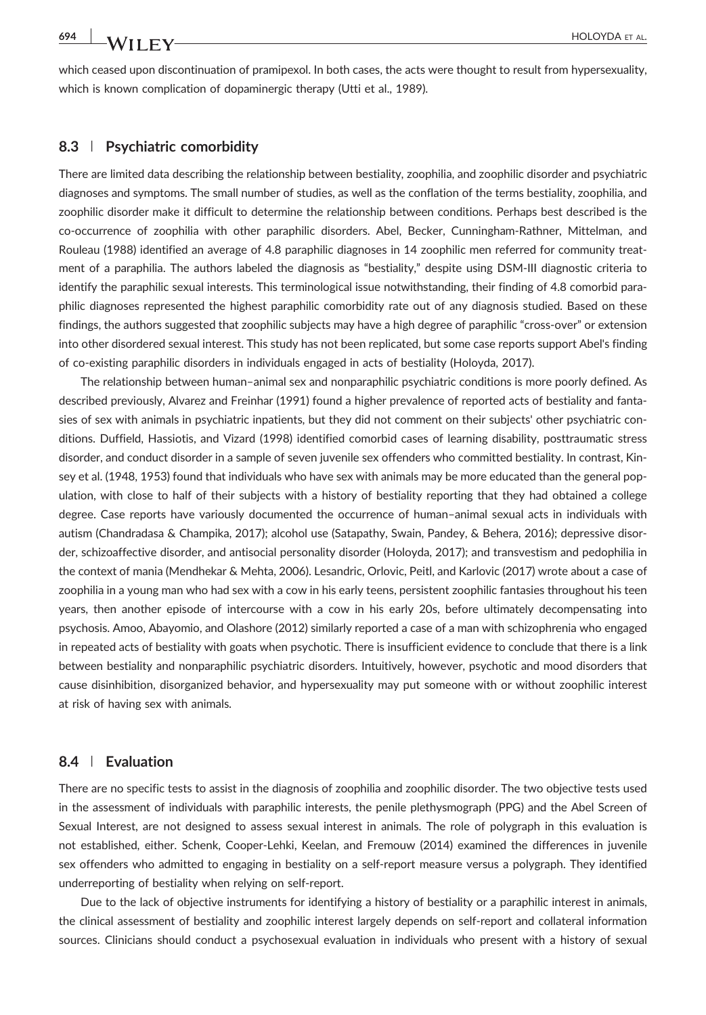which ceased upon discontinuation of pramipexol. In both cases, the acts were thought to result from hypersexuality, which is known complication of dopaminergic therapy (Utti et al., 1989).

#### 8.3 | Psychiatric comorbidity

There are limited data describing the relationship between bestiality, zoophilia, and zoophilic disorder and psychiatric diagnoses and symptoms. The small number of studies, as well as the conflation of the terms bestiality, zoophilia, and zoophilic disorder make it difficult to determine the relationship between conditions. Perhaps best described is the co-occurrence of zoophilia with other paraphilic disorders. Abel, Becker, Cunningham-Rathner, Mittelman, and Rouleau (1988) identified an average of 4.8 paraphilic diagnoses in 14 zoophilic men referred for community treatment of a paraphilia. The authors labeled the diagnosis as "bestiality," despite using DSM‐III diagnostic criteria to identify the paraphilic sexual interests. This terminological issue notwithstanding, their finding of 4.8 comorbid paraphilic diagnoses represented the highest paraphilic comorbidity rate out of any diagnosis studied. Based on these findings, the authors suggested that zoophilic subjects may have a high degree of paraphilic "cross-over" or extension into other disordered sexual interest. This study has not been replicated, but some case reports support Abel's finding of co‐existing paraphilic disorders in individuals engaged in acts of bestiality (Holoyda, 2017).

The relationship between human–animal sex and nonparaphilic psychiatric conditions is more poorly defined. As described previously, Alvarez and Freinhar (1991) found a higher prevalence of reported acts of bestiality and fantasies of sex with animals in psychiatric inpatients, but they did not comment on their subjects' other psychiatric conditions. Duffield, Hassiotis, and Vizard (1998) identified comorbid cases of learning disability, posttraumatic stress disorder, and conduct disorder in a sample of seven juvenile sex offenders who committed bestiality. In contrast, Kinsey et al. (1948, 1953) found that individuals who have sex with animals may be more educated than the general population, with close to half of their subjects with a history of bestiality reporting that they had obtained a college degree. Case reports have variously documented the occurrence of human–animal sexual acts in individuals with autism (Chandradasa & Champika, 2017); alcohol use (Satapathy, Swain, Pandey, & Behera, 2016); depressive disorder, schizoaffective disorder, and antisocial personality disorder (Holoyda, 2017); and transvestism and pedophilia in the context of mania (Mendhekar & Mehta, 2006). Lesandric, Orlovic, Peitl, and Karlovic (2017) wrote about a case of zoophilia in a young man who had sex with a cow in his early teens, persistent zoophilic fantasies throughout his teen years, then another episode of intercourse with a cow in his early 20s, before ultimately decompensating into psychosis. Amoo, Abayomio, and Olashore (2012) similarly reported a case of a man with schizophrenia who engaged in repeated acts of bestiality with goats when psychotic. There is insufficient evidence to conclude that there is a link between bestiality and nonparaphilic psychiatric disorders. Intuitively, however, psychotic and mood disorders that cause disinhibition, disorganized behavior, and hypersexuality may put someone with or without zoophilic interest at risk of having sex with animals.

#### 8.4 | Evaluation

There are no specific tests to assist in the diagnosis of zoophilia and zoophilic disorder. The two objective tests used in the assessment of individuals with paraphilic interests, the penile plethysmograph (PPG) and the Abel Screen of Sexual Interest, are not designed to assess sexual interest in animals. The role of polygraph in this evaluation is not established, either. Schenk, Cooper‐Lehki, Keelan, and Fremouw (2014) examined the differences in juvenile sex offenders who admitted to engaging in bestiality on a self‐report measure versus a polygraph. They identified underreporting of bestiality when relying on self‐report.

Due to the lack of objective instruments for identifying a history of bestiality or a paraphilic interest in animals, the clinical assessment of bestiality and zoophilic interest largely depends on self‐report and collateral information sources. Clinicians should conduct a psychosexual evaluation in individuals who present with a history of sexual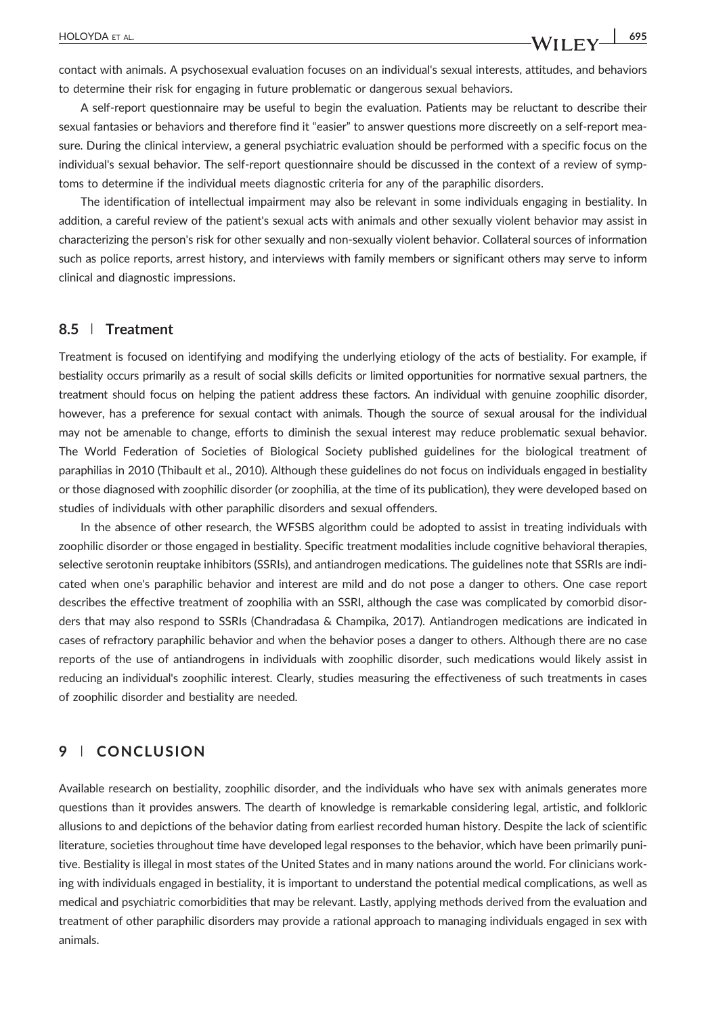contact with animals. A psychosexual evaluation focuses on an individual's sexual interests, attitudes, and behaviors to determine their risk for engaging in future problematic or dangerous sexual behaviors.

A self‐report questionnaire may be useful to begin the evaluation. Patients may be reluctant to describe their sexual fantasies or behaviors and therefore find it "easier" to answer questions more discreetly on a self-report measure. During the clinical interview, a general psychiatric evaluation should be performed with a specific focus on the individual's sexual behavior. The self‐report questionnaire should be discussed in the context of a review of symptoms to determine if the individual meets diagnostic criteria for any of the paraphilic disorders.

The identification of intellectual impairment may also be relevant in some individuals engaging in bestiality. In addition, a careful review of the patient's sexual acts with animals and other sexually violent behavior may assist in characterizing the person's risk for other sexually and non‐sexually violent behavior. Collateral sources of information such as police reports, arrest history, and interviews with family members or significant others may serve to inform clinical and diagnostic impressions.

## 8.5 | Treatment

Treatment is focused on identifying and modifying the underlying etiology of the acts of bestiality. For example, if bestiality occurs primarily as a result of social skills deficits or limited opportunities for normative sexual partners, the treatment should focus on helping the patient address these factors. An individual with genuine zoophilic disorder, however, has a preference for sexual contact with animals. Though the source of sexual arousal for the individual may not be amenable to change, efforts to diminish the sexual interest may reduce problematic sexual behavior. The World Federation of Societies of Biological Society published guidelines for the biological treatment of paraphilias in 2010 (Thibault et al., 2010). Although these guidelines do not focus on individuals engaged in bestiality or those diagnosed with zoophilic disorder (or zoophilia, at the time of its publication), they were developed based on studies of individuals with other paraphilic disorders and sexual offenders.

In the absence of other research, the WFSBS algorithm could be adopted to assist in treating individuals with zoophilic disorder or those engaged in bestiality. Specific treatment modalities include cognitive behavioral therapies, selective serotonin reuptake inhibitors (SSRIs), and antiandrogen medications. The guidelines note that SSRIs are indicated when one's paraphilic behavior and interest are mild and do not pose a danger to others. One case report describes the effective treatment of zoophilia with an SSRI, although the case was complicated by comorbid disorders that may also respond to SSRIs (Chandradasa & Champika, 2017). Antiandrogen medications are indicated in cases of refractory paraphilic behavior and when the behavior poses a danger to others. Although there are no case reports of the use of antiandrogens in individuals with zoophilic disorder, such medications would likely assist in reducing an individual's zoophilic interest. Clearly, studies measuring the effectiveness of such treatments in cases of zoophilic disorder and bestiality are needed.

## 9 | CONCLUSION

Available research on bestiality, zoophilic disorder, and the individuals who have sex with animals generates more questions than it provides answers. The dearth of knowledge is remarkable considering legal, artistic, and folkloric allusions to and depictions of the behavior dating from earliest recorded human history. Despite the lack of scientific literature, societies throughout time have developed legal responses to the behavior, which have been primarily punitive. Bestiality is illegal in most states of the United States and in many nations around the world. For clinicians working with individuals engaged in bestiality, it is important to understand the potential medical complications, as well as medical and psychiatric comorbidities that may be relevant. Lastly, applying methods derived from the evaluation and treatment of other paraphilic disorders may provide a rational approach to managing individuals engaged in sex with animals.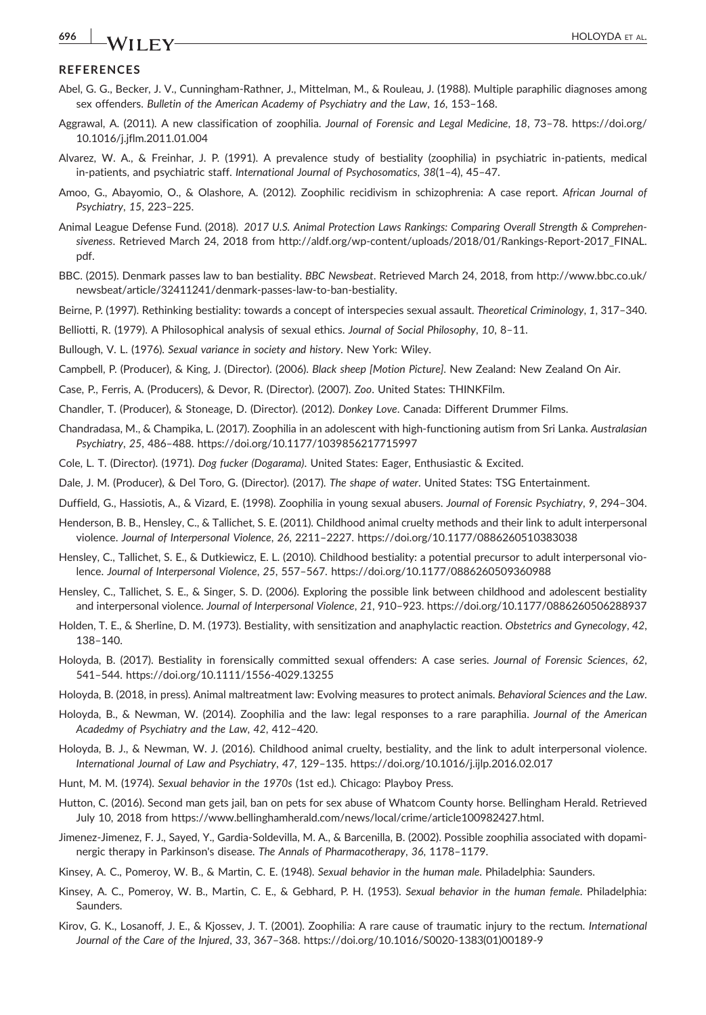## **696 WII FY** HOLOYDA ET AL.

#### **REFERENCES**

- Abel, G. G., Becker, J. V., Cunningham‐Rathner, J., Mittelman, M., & Rouleau, J. (1988). Multiple paraphilic diagnoses among sex offenders. Bulletin of the American Academy of Psychiatry and the Law, 16, 153–168.
- Aggrawal, A. (2011). A new classification of zoophilia. Journal of Forensic and Legal Medicine, 18, 73–78. [https://doi.org/](https://doi.org/10.1016/j.jflm.2011.01.004) [10.1016/j.jflm.2011.01.004](https://doi.org/10.1016/j.jflm.2011.01.004)
- Alvarez, W. A., & Freinhar, J. P. (1991). A prevalence study of bestiality (zoophilia) in psychiatric in‐patients, medical in-patients, and psychiatric staff. International Journal of Psychosomatics, 38(1-4), 45-47.
- Amoo, G., Abayomio, O., & Olashore, A. (2012). Zoophilic recidivism in schizophrenia: A case report. African Journal of Psychiatry, 15, 223–225.
- Animal League Defense Fund. (2018). 2017 U.S. Animal Protection Laws Rankings: Comparing Overall Strength & Comprehensiveness. Retrieved March 24, 2018 from http://aldf.org/wp-[content/uploads/2018/01/Rankings](http://aldf.org/wp-content/uploads/2018/01/Rankings-Report-2017_FINAL.pdf)-Report-2017\_FINAL. [pdf](http://aldf.org/wp-content/uploads/2018/01/Rankings-Report-2017_FINAL.pdf).
- BBC. (2015). Denmark passes law to ban bestiality. BBC Newsbeat. Retrieved March 24, 2018, from [http://www.bbc.co.uk/](http://www.bbc.co.uk/newsbeat/article/32411241/denmark-passes-law-to-ban-bestiality) [newsbeat/article/32411241/denmark](http://www.bbc.co.uk/newsbeat/article/32411241/denmark-passes-law-to-ban-bestiality)‐passes‐law‐to‐ban‐bestiality.

Beirne, P. (1997). Rethinking bestiality: towards a concept of interspecies sexual assault. Theoretical Criminology, 1, 317–340.

Belliotti, R. (1979). A Philosophical analysis of sexual ethics. Journal of Social Philosophy, 10, 8–11.

- Bullough, V. L. (1976). Sexual variance in society and history. New York: Wiley.
- Campbell, P. (Producer), & King, J. (Director). (2006). Black sheep [Motion Picture]. New Zealand: New Zealand On Air.
- Case, P., Ferris, A. (Producers), & Devor, R. (Director). (2007). Zoo. United States: THINKFilm.
- Chandler, T. (Producer), & Stoneage, D. (Director). (2012). Donkey Love. Canada: Different Drummer Films.
- Chandradasa, M., & Champika, L. (2017). Zoophilia in an adolescent with high‐functioning autism from Sri Lanka. Australasian Psychiatry, 25, 486–488.<https://doi.org/10.1177/1039856217715997>
- Cole, L. T. (Director). (1971). Dog fucker (Dogarama). United States: Eager, Enthusiastic & Excited.
- Dale, J. M. (Producer), & Del Toro, G. (Director). (2017). The shape of water. United States: TSG Entertainment.
- Duffield, G., Hassiotis, A., & Vizard, E. (1998). Zoophilia in young sexual abusers. Journal of Forensic Psychiatry, 9, 294–304.
- Henderson, B. B., Hensley, C., & Tallichet, S. E. (2011). Childhood animal cruelty methods and their link to adult interpersonal violence. Journal of Interpersonal Violence, 26, 2211–2227.<https://doi.org/10.1177/0886260510383038>
- Hensley, C., Tallichet, S. E., & Dutkiewicz, E. L. (2010). Childhood bestiality: a potential precursor to adult interpersonal violence. Journal of Interpersonal Violence, 25, 557–567.<https://doi.org/10.1177/0886260509360988>
- Hensley, C., Tallichet, S. E., & Singer, S. D. (2006). Exploring the possible link between childhood and adolescent bestiality and interpersonal violence. Journal of Interpersonal Violence, 21, 910–923.<https://doi.org/10.1177/0886260506288937>
- Holden, T. E., & Sherline, D. M. (1973). Bestiality, with sensitization and anaphylactic reaction. Obstetrics and Gynecology, 42, 138–140.
- Holoyda, B. (2017). Bestiality in forensically committed sexual offenders: A case series. Journal of Forensic Sciences, 62, 541–544. [https://doi.org/10.1111/1556](https://doi.org/10.1111/1556-4029.13255)‐4029.13255
- Holoyda, B. (2018, in press). Animal maltreatment law: Evolving measures to protect animals. Behavioral Sciences and the Law.
- Holoyda, B., & Newman, W. (2014). Zoophilia and the law: legal responses to a rare paraphilia. Journal of the American Acadedmy of Psychiatry and the Law, 42, 412–420.
- Holoyda, B. J., & Newman, W. J. (2016). Childhood animal cruelty, bestiality, and the link to adult interpersonal violence. International Journal of Law and Psychiatry, 47, 129–135.<https://doi.org/10.1016/j.ijlp.2016.02.017>
- Hunt, M. M. (1974). Sexual behavior in the 1970s (1st ed.). Chicago: Playboy Press.
- Hutton, C. (2016). Second man gets jail, ban on pets for sex abuse of Whatcom County horse. Bellingham Herald. Retrieved July 10, 2018 from [https://www.bellinghamherald.com/news/local/crime/article100982427.html.](https://www.bellinghamherald.com/news/local/crime/article100982427.html)
- Jimenez‐Jimenez, F. J., Sayed, Y., Gardia‐Soldevilla, M. A., & Barcenilla, B. (2002). Possible zoophilia associated with dopaminergic therapy in Parkinson's disease. The Annals of Pharmacotherapy, 36, 1178–1179.
- Kinsey, A. C., Pomeroy, W. B., & Martin, C. E. (1948). Sexual behavior in the human male. Philadelphia: Saunders.
- Kinsey, A. C., Pomeroy, W. B., Martin, C. E., & Gebhard, P. H. (1953). Sexual behavior in the human female. Philadelphia: **Saunders**
- Kirov, G. K., Losanoff, J. E., & Kjossev, J. T. (2001). Zoophilia: A rare cause of traumatic injury to the rectum. International Journal of the Care of the Injured, 33, 367–368. [https://doi.org/10.1016/S0020](https://doi.org/10.1016/S0020-1383(01)00189-9)‐1383(01)00189‐9